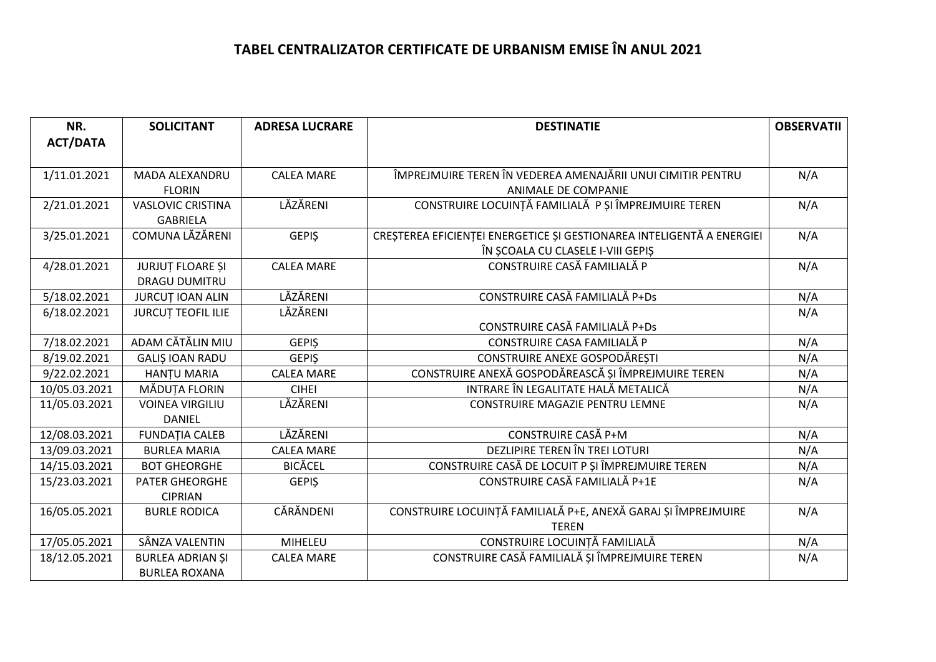## **TABEL CENTRALIZATOR CERTIFICATE DE URBANISM EMISE ÎN ANUL 2021**

| NR.             | <b>SOLICITANT</b>         | <b>ADRESA LUCRARE</b> | <b>DESTINATIE</b>                                                     | <b>OBSERVATII</b> |
|-----------------|---------------------------|-----------------------|-----------------------------------------------------------------------|-------------------|
| <b>ACT/DATA</b> |                           |                       |                                                                       |                   |
|                 |                           |                       |                                                                       |                   |
| 1/11.01.2021    | MADA ALEXANDRU            | <b>CALEA MARE</b>     | ÎMPREJMUIRE TEREN ÎN VEDEREA AMENAJĂRII UNUI CIMITIR PENTRU           | N/A               |
|                 | <b>FLORIN</b>             |                       | ANIMALE DE COMPANIE                                                   |                   |
| 2/21.01.2021    | <b>VASLOVIC CRISTINA</b>  | LĂZĂRENI              | CONSTRUIRE LOCUINȚĂ FAMILIALĂ P ȘI ÎMPREJMUIRE TEREN                  | N/A               |
|                 | <b>GABRIELA</b>           |                       |                                                                       |                   |
| 3/25.01.2021    | COMUNA LĂZĂRENI           | <b>GEPIS</b>          | CREȘTEREA EFICIENȚEI ENERGETICE ȘI GESTIONAREA INTELIGENTĂ A ENERGIEI | N/A               |
|                 |                           |                       | ÎN ȘCOALA CU CLASELE I-VIII GEPIȘ                                     |                   |
| 4/28.01.2021    | <b>JURJUT FLOARE ȘI</b>   | <b>CALEA MARE</b>     | CONSTRUIRE CASĂ FAMILIALĂ P                                           | N/A               |
|                 | <b>DRAGU DUMITRU</b>      |                       |                                                                       |                   |
| 5/18.02.2021    | <b>JURCUT IOAN ALIN</b>   | LĂZĂRENI              | CONSTRUIRE CASĂ FAMILIALĂ P+Ds                                        | N/A               |
| 6/18.02.2021    | <b>JURCUT TEOFIL ILIE</b> | LĂZĂRENI              |                                                                       | N/A               |
|                 |                           |                       | CONSTRUIRE CASĂ FAMILIALĂ P+Ds                                        |                   |
| 7/18.02.2021    | ADAM CĂTĂLIN MIU          | <b>GEPIS</b>          | CONSTRUIRE CASA FAMILIALĂ P                                           | N/A               |
| 8/19.02.2021    | <b>GALIS IOAN RADU</b>    | <b>GEPIS</b>          | CONSTRUIRE ANEXE GOSPODĂREȘTI                                         | N/A               |
| 9/22.02.2021    | <b>HANTU MARIA</b>        | <b>CALEA MARE</b>     | CONSTRUIRE ANEXĂ GOSPODĂREASCĂ ȘI ÎMPREJMUIRE TEREN                   | N/A               |
| 10/05.03.2021   | MĂDUȚA FLORIN             | <b>CIHEI</b>          | INTRARE ÎN LEGALITATE HALĂ METALICĂ                                   | N/A               |
| 11/05.03.2021   | <b>VOINEA VIRGILIU</b>    | LĂZĂRENI              | CONSTRUIRE MAGAZIE PENTRU LEMNE                                       | N/A               |
|                 | <b>DANIEL</b>             |                       |                                                                       |                   |
| 12/08.03.2021   | <b>FUNDAȚIA CALEB</b>     | LĂZĂRENI              | CONSTRUIRE CASĂ P+M                                                   | N/A               |
| 13/09.03.2021   | <b>BURLEA MARIA</b>       | <b>CALEA MARE</b>     | DEZLIPIRE TEREN ÎN TREI LOTURI                                        | N/A               |
| 14/15.03.2021   | <b>BOT GHEORGHE</b>       | <b>BICĂCEL</b>        | CONSTRUIRE CASĂ DE LOCUIT P ȘI ÎMPREJMUIRE TEREN                      | N/A               |
| 15/23.03.2021   | <b>PATER GHEORGHE</b>     | <b>GEPIŞ</b>          | CONSTRUIRE CASĂ FAMILIALĂ P+1E                                        | N/A               |
|                 | <b>CIPRIAN</b>            |                       |                                                                       |                   |
| 16/05.05.2021   | <b>BURLE RODICA</b>       | CĂRĂNDENI             | CONSTRUIRE LOCUINȚĂ FAMILIALĂ P+E, ANEXĂ GARAJ ȘI ÎMPREJMUIRE         | N/A               |
|                 |                           |                       | <b>TEREN</b>                                                          |                   |
| 17/05.05.2021   | SÂNZA VALENTIN            | MIHELEU               | CONSTRUIRE LOCUINȚĂ FAMILIALĂ                                         | N/A               |
| 18/12.05.2021   | <b>BURLEA ADRIAN ȘI</b>   | <b>CALEA MARE</b>     | CONSTRUIRE CASĂ FAMILIALĂ ȘI ÎMPREJMUIRE TEREN                        | N/A               |
|                 | <b>BURLEA ROXANA</b>      |                       |                                                                       |                   |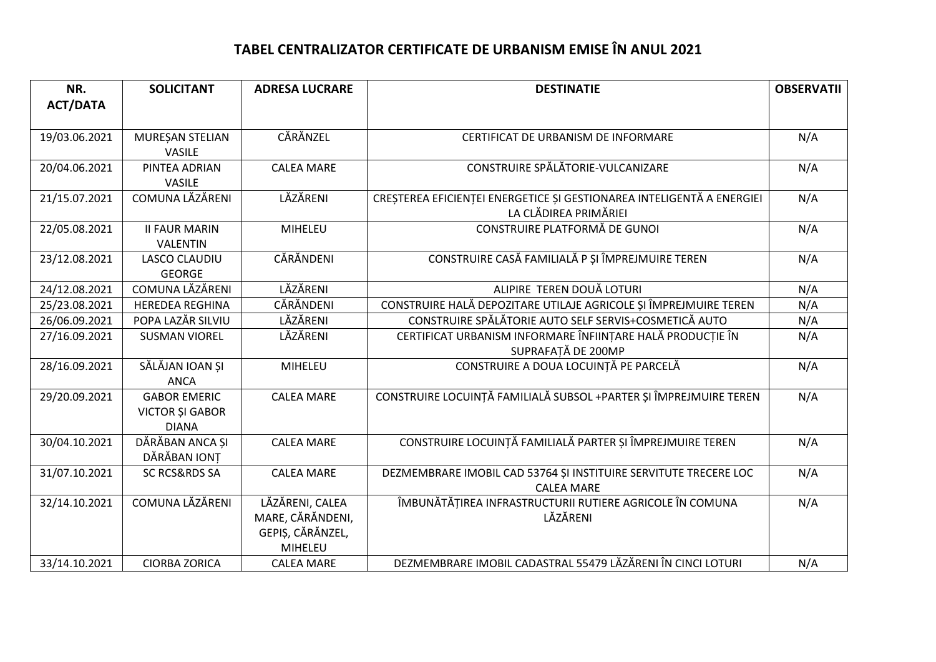## **TABEL CENTRALIZATOR CERTIFICATE DE URBANISM EMISE ÎN ANUL 2021**

| NR.             | <b>SOLICITANT</b>                                             | <b>ADRESA LUCRARE</b>                                              | <b>DESTINATIE</b>                                                                              | <b>OBSERVATII</b> |
|-----------------|---------------------------------------------------------------|--------------------------------------------------------------------|------------------------------------------------------------------------------------------------|-------------------|
| <b>ACT/DATA</b> |                                                               |                                                                    |                                                                                                |                   |
|                 |                                                               | CĂRĂNZEL                                                           | CERTIFICAT DE URBANISM DE INFORMARE                                                            | N/A               |
| 19/03.06.2021   | MUREȘAN STELIAN<br><b>VASILE</b>                              |                                                                    |                                                                                                |                   |
| 20/04.06.2021   | PINTEA ADRIAN<br><b>VASILE</b>                                | <b>CALEA MARE</b>                                                  | CONSTRUIRE SPĂLĂTORIE-VULCANIZARE                                                              | N/A               |
| 21/15.07.2021   | COMUNA LĂZĂRENI                                               | LĂZĂRENI                                                           | CREȘTEREA EFICIENȚEI ENERGETICE ȘI GESTIONAREA INTELIGENTĂ A ENERGIEI<br>LA CLĂDIREA PRIMĂRIEI | N/A               |
| 22/05.08.2021   | <b>II FAUR MARIN</b><br>VALENTIN                              | MIHELEU                                                            | CONSTRUIRE PLATFORMĂ DE GUNOI                                                                  | N/A               |
| 23/12.08.2021   | LASCO CLAUDIU<br><b>GEORGE</b>                                | CĂRĂNDENI                                                          | CONSTRUIRE CASĂ FAMILIALĂ P ȘI ÎMPREJMUIRE TEREN                                               | N/A               |
| 24/12.08.2021   | COMUNA LĂZĂRENI                                               | LĂZĂRENI                                                           | ALIPIRE TEREN DOUĂ LOTURI                                                                      | N/A               |
| 25/23.08.2021   | <b>HEREDEA REGHINA</b>                                        | CĂRĂNDENI                                                          | CONSTRUIRE HALĂ DEPOZITARE UTILAJE AGRICOLE ȘI ÎMPREJMUIRE TEREN                               | N/A               |
| 26/06.09.2021   | POPA LAZĂR SILVIU                                             | LĂZĂRENI                                                           | CONSTRUIRE SPĂLĂTORIE AUTO SELF SERVIS+COSMETICĂ AUTO                                          | N/A               |
| 27/16.09.2021   | <b>SUSMAN VIOREL</b>                                          | LĂZĂRENI                                                           | CERTIFICAT URBANISM INFORMARE ÎNFIINȚARE HALĂ PRODUCȚIE ÎN<br>SUPRAFAȚĂ DE 200MP               | N/A               |
| 28/16.09.2021   | SĂLĂJAN IOAN ȘI<br><b>ANCA</b>                                | MIHELEU                                                            | CONSTRUIRE A DOUA LOCUINȚĂ PE PARCELĂ                                                          | N/A               |
| 29/20.09.2021   | <b>GABOR EMERIC</b><br><b>VICTOR ȘI GABOR</b><br><b>DIANA</b> | <b>CALEA MARE</b>                                                  | CONSTRUIRE LOCUINȚĂ FAMILIALĂ SUBSOL +PARTER ȘI ÎMPREJMUIRE TEREN                              | N/A               |
| 30/04.10.2021   | DĂRĂBAN ANCA ȘI<br>DĂRĂBAN IONT                               | <b>CALEA MARE</b>                                                  | CONSTRUIRE LOCUINȚĂ FAMILIALĂ PARTER ȘI ÎMPREJMUIRE TEREN                                      | N/A               |
| 31/07.10.2021   | <b>SC RCS&amp;RDS SA</b>                                      | <b>CALEA MARE</b>                                                  | DEZMEMBRARE IMOBIL CAD 53764 ȘI INSTITUIRE SERVITUTE TRECERE LOC<br><b>CALEA MARE</b>          | N/A               |
| 32/14.10.2021   | COMUNA LĂZĂRENI                                               | LĂZĂRENI, CALEA<br>MARE, CĂRĂNDENI,<br>GEPIȘ, CĂRĂNZEL,<br>MIHELEU | ÎMBUNĂTĂȚIREA INFRASTRUCTURII RUTIERE AGRICOLE ÎN COMUNA<br>LĂZĂRENI                           | N/A               |
| 33/14.10.2021   | <b>CIORBA ZORICA</b>                                          | <b>CALEA MARE</b>                                                  | DEZMEMBRARE IMOBIL CADASTRAL 55479 LĂZĂRENI ÎN CINCI LOTURI                                    | N/A               |